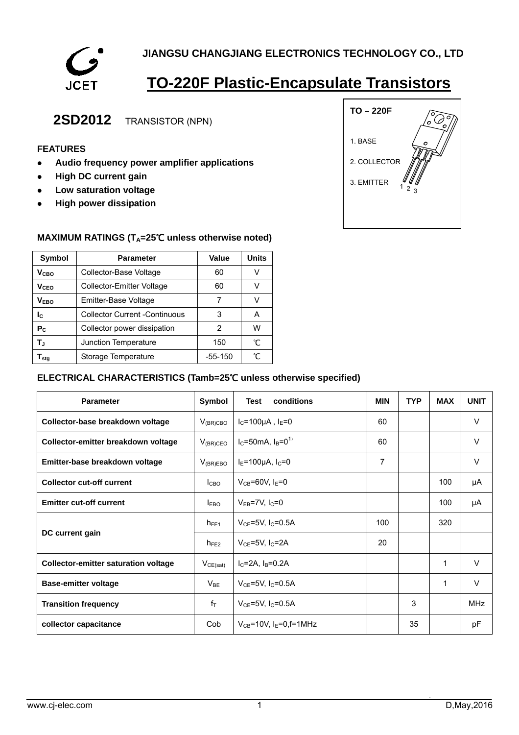

# **TO-220F Plastic-Encapsulate Transistors**

## **2SD2012** TRANSISTOR (NPN)

### **FEATURES**

- **•** Audio frequency power amplifier applications
- **•** High DC current gain
- **•** Low saturation voltage
- **•** High power dissipation



#### **MAXIMUM RATINGS (T<sub>A</sub>=25℃ unless otherwise noted)**

| <b>Symbol</b>                | <b>Parameter</b>                     | <b>Value</b> | <b>Units</b> |  |
|------------------------------|--------------------------------------|--------------|--------------|--|
| V <sub>CBO</sub>             | Collector-Base Voltage               | 60           | V            |  |
| V <sub>CEO</sub>             | Collector-Emitter Voltage            | 60           | V            |  |
| <b>VEBO</b>                  | Emitter-Base Voltage                 |              | V            |  |
| Ιc                           | <b>Collector Current -Continuous</b> | 3            | А            |  |
| $P_{C}$                      | Collector power dissipation          | 2            | w            |  |
| T,                           | Junction Temperature                 | 150          | °C           |  |
| ${\mathsf T}_{\textsf{sta}}$ | Storage Temperature                  | $-55-150$    | °⊂           |  |

#### **ELECTRICAL CHARACTERISTICS (Tamb=25**℃ **unless otherwise specified)**

| <b>Parameter</b>                            | Symbol           | conditions<br>Test                  | <b>MIN</b> | <b>TYP</b> | <b>MAX</b> | <b>UNIT</b> |
|---------------------------------------------|------------------|-------------------------------------|------------|------------|------------|-------------|
| Collector-base breakdown voltage            | $V_{(BR)CBO}$    | $I_C = 100 \mu A$ , $I_E = 0$       | 60         |            |            | V           |
| Collector-emitter breakdown voltage         | $V_{(BR)CEO}$    | $I_C = 50$ mA, $I_B = 0^{1}$        | 60         |            |            | V           |
| Emitter-base breakdown voltage              | $V_{(BR)EBO}$    | $I_E = 100 \mu A$ , $I_C = 0$       | 7          |            |            | $\vee$      |
| <b>Collector cut-off current</b>            | I <sub>CBO</sub> | $V_{CB}$ =60V, I <sub>E</sub> =0    |            |            | 100        | μA          |
| <b>Emitter cut-off current</b>              | $I_{EBO}$        | $V_{EB}$ =7V, $I_C$ =0              |            |            | 100        | μA          |
|                                             | $h_{FE1}$        | $V_{CF} = 5V, I_C = 0.5A$           | 100        |            | 320        |             |
| DC current gain                             | $h_{FE2}$        | $V_{CF}$ =5V, I $c$ =2A             | 20         |            |            |             |
| <b>Collector-emitter saturation voltage</b> | $V_{CE(sat)}$    | $I_C = 2A$ , $I_B = 0.2A$           |            |            | 1          | $\vee$      |
| <b>Base-emitter voltage</b>                 | $V_{BE}$         | $V_{CF} = 5V, I_{C} = 0.5A$         |            |            | 1          | $\vee$      |
| <b>Transition frequency</b>                 | $f_{\top}$       | $V_{CE}$ =5V, I <sub>C</sub> =0.5A  |            | 3          |            | <b>MHz</b>  |
| collector capacitance                       | Cob              | $V_{CB} = 10V$ , $I_E = 0$ , f=1MHz |            | 35         |            | pF          |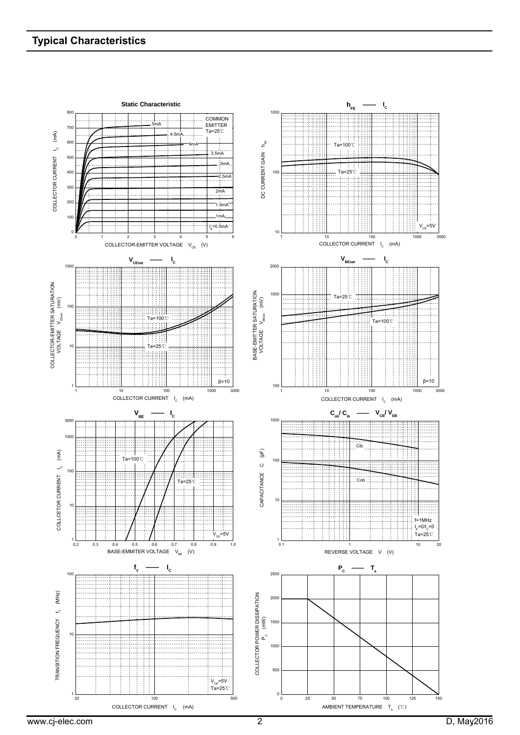### **Typical Characteristics**